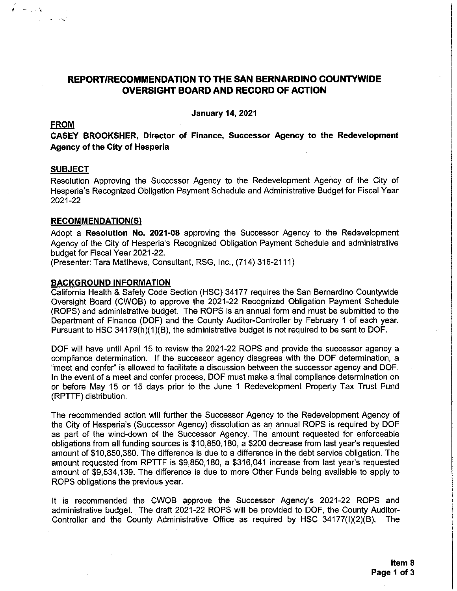# REPORT/RECOMMENDATION TO THE SAN BERNARDINO COUNTYWIDE **OVERSIGHT BOARD AND RECORD OF ACTION**

**January 14, 2021** 

#### **FROM**

 $\mathbf{r}$  and  $\mathbf{r}$ 

CASEY BROOKSHER, Director of Finance, Successor Agency to the Redevelopment **Agency of the City of Hesperia** 

#### **SUBJECT**

Resolution Approving the Successor Agency to the Redevelopment Agency of the City of Hesperia's Recognized Obligation Payment Schedule and Administrative Budget for Fiscal Year 2021-22

### **RECOMMENDATION(S)**

Adopt a Resolution No. 2021-08 approving the Successor Agency to the Redevelopment Agency of the City of Hesperia's Recognized Obligation Payment Schedule and administrative budget for Fiscal Year 2021-22.

(Presenter: Tara Matthews, Consultant, RSG, Inc., (714) 316-2111)

#### **BACKGROUND INFORMATION**

California Health & Safety Code Section (HSC) 34177 requires the San Bernardino Countywide Oversight Board (CWOB) to approve the 2021-22 Recognized Obligation Payment Schedule (ROPS) and administrative budget. The ROPS is an annual form and must be submitted to the Department of Finance (DOF) and the County Auditor-Controller by February 1 of each year. Pursuant to HSC 34179(h)(1)(B), the administrative budget is not required to be sent to DOF.

DOF will have until April 15 to review the 2021-22 ROPS and provide the successor agency a compliance determination. If the successor agency disagrees with the DOF determination, a "meet and confer" is allowed to facilitate a discussion between the successor agency and DOF. In the event of a meet and confer process, DOF must make a final compliance determination on or before May 15 or 15 days prior to the June 1 Redevelopment Property Tax Trust Fund (RPTTF) distribution.

The recommended action will further the Successor Agency to the Redevelopment Agency of the City of Hesperia's (Successor Agency) dissolution as an annual ROPS is required by DOF as part of the wind-down of the Successor Agency. The amount requested for enforceable obligations from all funding sources is \$10,850,180, a \$200 decrease from last year's requested amount of \$10,850,380. The difference is due to a difference in the debt service obligation. The amount requested from RPTTF is \$9,850,180, a \$316,041 increase from last year's requested amount of \$9,534,139. The difference is due to more Other Funds being available to apply to ROPS obligations the previous year.

It is recommended the CWOB approve the Successor Agency's 2021-22 ROPS and administrative budget. The draft 2021-22 ROPS will be provided to DOF, the County Auditor-Controller and the County Administrative Office as required by HSC 34177(I)(2)(B). The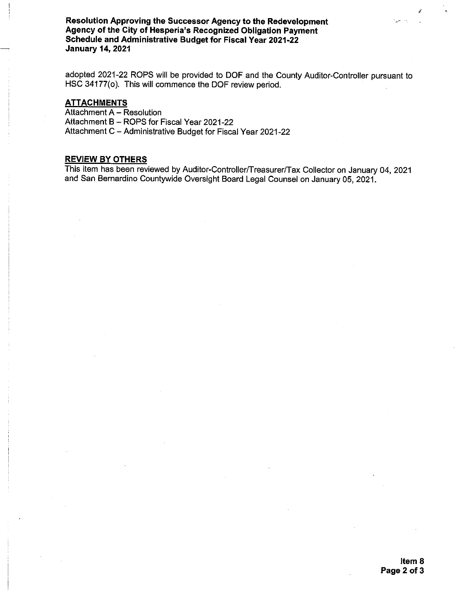Resolution Approving the Successor Agency to the Redevelopment Agency of the City of Hesperia's Recognized Obligation Payment Schedule and Administrative Budget for Fiscal Year 2021-22 **January 14, 2021** 

adopted 2021-22 ROPS will be provided to DOF and the County Auditor-Controller pursuant to HSC 34177(o). This will commence the DOF review period.

# **ATTACHMENTS**

Attachment A - Resolution Attachment B - ROPS for Fiscal Year 2021-22 Attachment C - Administrative Budget for Fiscal Year 2021-22

#### **REVIEW BY OTHERS**

This item has been reviewed by Auditor-Controller/Treasurer/Tax Collector on January 04, 2021 and San Bernardino Countywide Oversight Board Legal Counsel on January 05, 2021.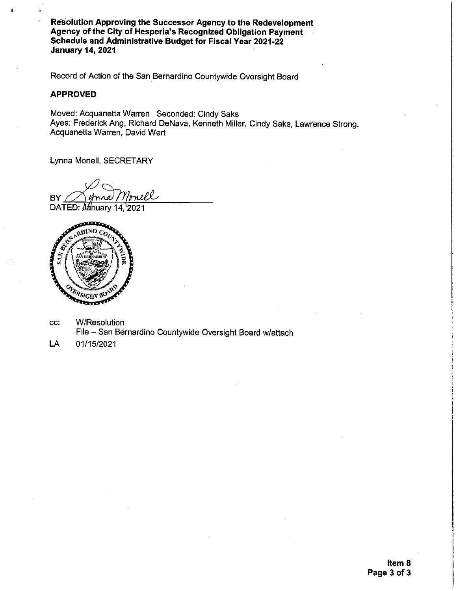Resolution Approving the Successor Agency to the Redevelopment Agency of the City of Hesperia's Recognized Obligation Payment Schedule and Administrative Budget for Fiscal Year 2021-22 **January 14, 2021** 

Record of Action of the San Bernardino Countywide Oversight Board

# **APPROVED**

Moved: Acquanetta Warren Seconded: Cindy Saks Ayes: Frederick Ang, Richard DeNava, Kenneth Miller, Cindy Saks, Lawrence Strong, Acquanetta Warren, David Wert

Lynna Monell, SECRETARY

mell **BY** DATED: January 14, 2021



**W/Resolution** CC: File - San Bernardino Countywide Oversight Board w/attach

LA 01/15/2021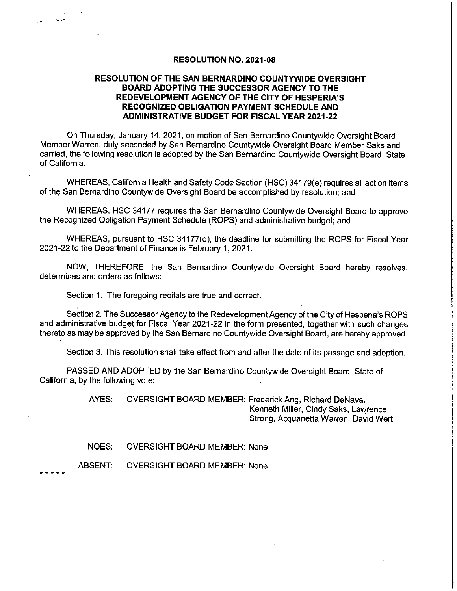#### **RESOLUTION NO. 2021-08**

# **RESOLUTION OF THE SAN BERNARDINO COUNTYWIDE OVERSIGHT** BOARD ADOPTING THE SUCCESSOR AGENCY TO THE REDEVELOPMENT AGENCY OF THE CITY OF HESPERIA'S RECOGNIZED OBLIGATION PAYMENT SCHEDULE AND **ADMINISTRATIVE BUDGET FOR FISCAL YEAR 2021-22**

On Thursday, January 14, 2021, on motion of San Bernardino Countywide Oversight Board Member Warren, duly seconded by San Bernardino Countywide Oversight Board Member Saks and carried, the following resolution is adopted by the San Bernardino Countywide Oversight Board, State of California.

WHEREAS, California Health and Safety Code Section (HSC) 34179(e) requires all action items of the San Bernardino Countywide Oversight Board be accomplished by resolution; and

WHEREAS, HSC 34177 requires the San Bernardino Countywide Oversight Board to approve the Recognized Obligation Payment Schedule (ROPS) and administrative budget; and

WHEREAS, pursuant to HSC 34177(o), the deadline for submitting the ROPS for Fiscal Year 2021-22 to the Department of Finance is February 1, 2021.

NOW, THEREFORE, the San Bernardino Countywide Oversight Board hereby resolves, determines and orders as follows:

Section 1. The foregoing recitals are true and correct.

Section 2. The Successor Agency to the Redevelopment Agency of the City of Hesperia's ROPS and administrative budget for Fiscal Year 2021-22 in the form presented, together with such changes thereto as may be approved by the San Bernardino Countywide Oversight Board, are hereby approved.

Section 3. This resolution shall take effect from and after the date of its passage and adoption.

PASSED AND ADOPTED by the San Bernardino Countywide Oversight Board, State of California, by the following vote:

> AYES: OVERSIGHT BOARD MEMBER: Frederick Ang, Richard DeNava, Kenneth Miller, Cindy Saks, Lawrence Strong, Acquanetta Warren, David Wert

NOES: **OVERSIGHT BOARD MEMBER: None** 

**ABSENT: OVERSIGHT BOARD MEMBER: None** 

\* \* \* \* \*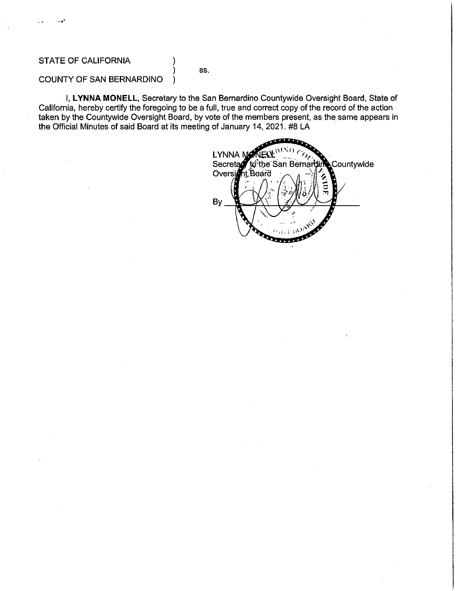# **STATE OF CALIFORNIA**

SS.

#### COUNTY OF SAN BERNARDINO )

I, LYNNA MONELL, Secretary to the San Bernardino Countywide Oversight Board, State of California, hereby certify the foregoing to be a full, true and correct copy of the record of the action taken by the Countywide Oversight Board, by vote of the members present, as the same appears in the Official Minutes of said Board at its meeting of January 14, 2021. #8 LA

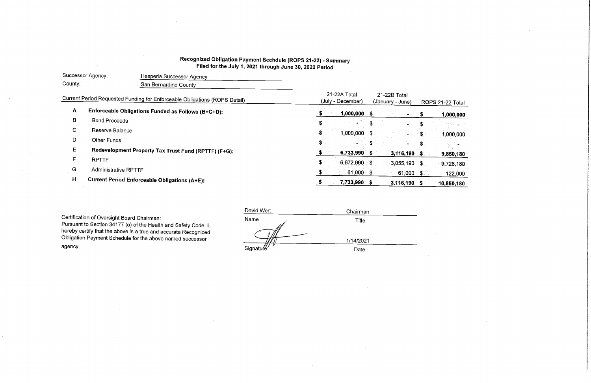# Recognized Obligation Payment Scehdule (ROPS 21-22) - Summary Filed for the July 1, 2021 through June 30, 2022 Period

| Successor Agency: |                             | Hesperia Successor Agency                                                  |                                   |              |                                  |                  |     |            |
|-------------------|-----------------------------|----------------------------------------------------------------------------|-----------------------------------|--------------|----------------------------------|------------------|-----|------------|
| County:           |                             | San Bernardino County                                                      |                                   |              |                                  |                  |     |            |
|                   |                             | Current Period Requested Funding for Enforceable Obligations (ROPS Detail) | 21-22A Total<br>(July - December) |              | 21-22B Total<br>(January - June) | ROPS 21-22 Total |     |            |
| A                 |                             | Enforceable Obligations Funded as Follows (B+C+D):                         |                                   | 1,000,000    | -S                               |                  | \$. | 1,000,000  |
| B                 | <b>Bond Proceeds</b>        |                                                                            | S                                 |              |                                  |                  | \$  |            |
| $\mathbf C$       | Reserve Balance             |                                                                            | S                                 | 1,000,000 \$ |                                  |                  | \$  | 1,000,000  |
| D                 | <b>Other Funds</b>          |                                                                            | \$                                |              |                                  |                  |     |            |
| E                 |                             | Redevelopment Property Tax Trust Fund (RPTTF) (F+G):                       | S.                                | 6,733,990    |                                  | 3,116,190        | - 5 | 9,850,180  |
| F                 | <b>RPTTF</b>                |                                                                            | S.                                | 6,672,990 \$ |                                  | 3,055,190 \$     |     | 9,728,180  |
| G                 | <b>Administrative RPTTF</b> |                                                                            |                                   | 61,000 \$    |                                  | $61,000$ \$      |     | 122,000    |
| H                 |                             | <b>Current Period Enforceable Obligations (A+E):</b>                       |                                   | 7,733,990 \$ |                                  | $3,116,190$ \$   |     | 10,850,180 |

Certification of Oversight Board Chairman:

Pursuant to Section 34177 (o) of the Health and Safety Code, I<br>hereby certify that the above is a true and accurate Recognized Obligation Payment Schedule for the above named successor agency.

| David Wert | Chairman  |  |
|------------|-----------|--|
| Name       | Title     |  |
|            |           |  |
|            | 1/14/2021 |  |
| Signature' | Date      |  |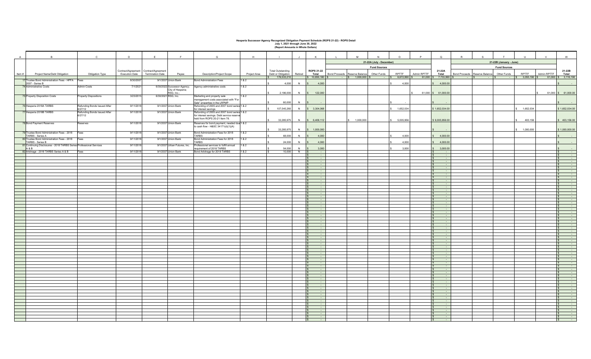# **Hesperia Successor Agency Recognized Obligation Payment Schedule (ROPS 21-22) - ROPS Detail July 1, 2021 through June 30, 2022 (Report Amounts in Whole Dollars)**

|        | B                                                                            | $\mathbf{C}$                            |                       | E                                     | F                                                | $\mathsf{G}$                                                                               | H            |                                     |         | K                           | M                                         | N                        | $\circ$     | P                                          | Q                   | $\mathbb{R}$         | $\mathbf{s}$    | T                       | $\cup$       | $\mathsf{v}$                            | W                                      |
|--------|------------------------------------------------------------------------------|-----------------------------------------|-----------------------|---------------------------------------|--------------------------------------------------|--------------------------------------------------------------------------------------------|--------------|-------------------------------------|---------|-----------------------------|-------------------------------------------|--------------------------|-------------|--------------------------------------------|---------------------|----------------------|-----------------|-------------------------|--------------|-----------------------------------------|----------------------------------------|
| A      |                                                                              |                                         | D                     |                                       |                                                  |                                                                                            |              |                                     |         |                             |                                           |                          |             |                                            |                     |                      |                 |                         |              |                                         |                                        |
|        |                                                                              |                                         |                       |                                       |                                                  |                                                                                            |              |                                     |         |                             |                                           | 21-22A (July - December) |             |                                            |                     |                      |                 | 21-22B (January - June) |              |                                         |                                        |
|        |                                                                              |                                         |                       | Contract/Agreement Contract/Agreement |                                                  |                                                                                            |              | <b>Total Outstanding</b>            |         | <b>ROPS 21-22</b>           |                                           | <b>Fund Sources</b>      |             |                                            | 21-22A              |                      |                 | <b>Fund Sources</b>     |              |                                         | 21-22B                                 |
| Item # | Project Name/Debt Obligation                                                 | Obligation Type                         | <b>Execution Date</b> | <b>Termination Date</b>               | Payee                                            | Description/Project Scope                                                                  | Project Area | Debt or Obligation<br>\$176,533,210 | Retired | <b>Total</b>                | Bond Proceeds Reserve Balance Other Funds |                          | RPTTF       | Admin RPTTF                                | <b>Total</b>        | <b>Bond Proceeds</b> | Reserve Balance | Other Funds             | RPTTF        | Admin RPTTF                             | Total                                  |
|        | 17 Trustee Bond Administration Fees - HPFA Fees                              |                                         | 8/30/2007             |                                       | 9/1/2037 Union Bank                              | <b>Bond Administration Fees</b>                                                            | 1&2          |                                     |         | $\frac{1}{5}$ 10,850,180 \$ | $-$ \$ 1,000,000 \$                       |                          |             | $-$ \$ 6,672,990 \$ 61,000 \$ 7,733,990 \$ |                     | $ s$                 | $ \sqrt{S}$     |                         |              | $-$ \$ 3,055,190 \$ 61,000 \$ 3,116,190 |                                        |
|        | 2007 - Series B                                                              |                                         |                       |                                       |                                                  |                                                                                            |              | 4,000                               | N       | 4,000                       |                                           |                          | 4,000       |                                            | 4,000.00            |                      |                 |                         |              |                                         |                                        |
|        | 74 Administrative Costs                                                      | <b>Admin Costs</b>                      | 7/1/2021              |                                       | 6/30/2022 Successor Agency;<br>City of Hesperia; | Agency administrative costs                                                                | 1&2          |                                     |         |                             |                                           |                          |             |                                            |                     |                      |                 |                         |              |                                         |                                        |
|        |                                                                              |                                         |                       |                                       | RSG, Inc.;                                       |                                                                                            |              | 2,196,000                           |         | N \$ 122,000                |                                           |                          |             |                                            | 61,000 \$ 61,000.00 |                      |                 |                         |              |                                         | 61,000 \$ 61,000.00                    |
|        | 75 Property Disposition Costs                                                | <b>Property Dispositions</b>            | 3/23/2015             |                                       | 6/30/2021 RSG, Inc.                              | Marketing and property sale<br>management costs associated with "For                       | 1&2          |                                     |         |                             |                                           |                          |             |                                            |                     |                      |                 |                         |              |                                         |                                        |
|        | 76 Hesperia 2018A TARBS                                                      |                                         | 9/11/2018             |                                       | 9/1/2037 Union Bank                              | Sale" properties in the LRPMP<br>Refunding of 2005 and 2007 bond series 1 & 2              |              | 60,000                              | N       |                             |                                           |                          |             |                                            |                     |                      |                 |                         |              |                                         |                                        |
|        |                                                                              | Refunding Bonds Issued After<br>6/27/12 |                       |                                       |                                                  | for interest savings                                                                       |              | 107,545,260                         | N       | \$3,304,068                 |                                           |                          | 1,652,034   |                                            | \$1,652,034.00      |                      |                 |                         | 1,652,034    |                                         | \$1,652,034.00                         |
|        | 77 Hesperia 2018B TARBS                                                      | Refunding Bonds Issued After<br>6/27/12 | 9/11/2018             |                                       | 9/1/2037 Union Bank                              | Refunding of 2005 and 2007 bond series 1 & 2<br>for interest savings. Debt service reserve |              |                                     |         |                             |                                           |                          |             |                                            |                     |                      |                 |                         |              |                                         |                                        |
|        |                                                                              |                                         |                       |                                       |                                                  | held from ROPS 20-21 Item 78.                                                              |              | 33,285,975                          |         | N \$ 6,409,112              | \$ 1,000,000                              |                          | \$5,005,956 |                                            | \$6,005,956.00      |                      |                 |                         | 403,156      |                                         | 403,156.00                             |
|        | 78 Bond Payment Reserves                                                     | Reserves                                | 9/11/2018             |                                       | 9/1/2037 Union Bank                              | Reserves for bond payment, needed due 1 & 2                                                |              |                                     |         |                             |                                           |                          |             |                                            |                     |                      |                 |                         |              |                                         |                                        |
|        |                                                                              |                                         |                       |                                       |                                                  | to cash flow - H&SC 34171(d)(1)(A)                                                         |              | 33,285,975                          | N       | \$ 1,000,000                |                                           |                          |             |                                            |                     |                      |                 |                         | \$ 1,000,000 |                                         | \$1,000,000.00                         |
|        | 79 Trustee Bond Administration Fees - 2018 Fees                              |                                         | 9/11/2018             |                                       | 9/1/2037 Union Bank                              | Bond Administration Fees for 2018                                                          | 1 & 2        |                                     |         |                             |                                           |                          |             |                                            |                     |                      |                 |                         |              |                                         |                                        |
|        | TARBS - Series A<br>80 Trustee Bond Administration Fees - 2018 Fees          |                                         | 9/11/2018             |                                       | 9/1/2037 Union Bank                              | <b>TARBS</b><br>Bond Administration Fees for 2018                                          | 1 & 2        | 68,000                              | N       | 4,000                       |                                           |                          | 4,000       |                                            | 4,000.00            |                      |                 |                         |              |                                         |                                        |
|        | TARBS - Series B                                                             |                                         |                       |                                       |                                                  | TARBS                                                                                      |              | 24,000                              | N       | 4,000                       |                                           |                          | 4,000       |                                            | 4,000.00            |                      |                 |                         |              |                                         |                                        |
|        | 81 Continuing Disclosures - 2018 TARBS Series Professional Services<br>A & B |                                         | 9/11/2018             |                                       | 9/1/2037 Urban Futures, Inc.                     | Professional services to fulfill annual<br>equirement of 2018 TARBS                        | 1 & 2        | 54,000                              | N       | 3,000                       |                                           |                          | 3,000       |                                            | 3,000.00            |                      |                 |                         |              |                                         |                                        |
|        | 82 Arbitrage - 2018 TARBS Series A & B                                       | Fees                                    | 9/11/2018             |                                       | 9/1/2037 Union Bank                              | Bond Arbitrage for 2018 TARBS                                                              | 1&2          | 10,000                              | $N$ \$  | $\sim$ $\sim$               |                                           |                          |             |                                            | $\sim$ 100 $\mu$    |                      |                 |                         |              |                                         | $\sim$ 10 $\sim$                       |
|        |                                                                              |                                         |                       |                                       |                                                  |                                                                                            |              |                                     |         |                             |                                           |                          |             |                                            | - 11                |                      |                 |                         |              |                                         | $\sim$<br>$\sim$                       |
|        |                                                                              |                                         |                       |                                       |                                                  |                                                                                            |              |                                     |         | $\sim$ $\sim$               |                                           |                          |             |                                            | $\sim$ 100 $\mu$    |                      |                 |                         |              |                                         | $\sim$ 100 $\mu$                       |
|        |                                                                              |                                         |                       |                                       |                                                  |                                                                                            |              |                                     |         |                             |                                           |                          |             |                                            |                     |                      |                 |                         |              |                                         | $\sim$                                 |
|        |                                                                              |                                         |                       |                                       |                                                  |                                                                                            |              |                                     |         |                             |                                           |                          |             |                                            | $\sim$              |                      |                 |                         |              |                                         | $\sim$ 100 $\mu$                       |
|        |                                                                              |                                         |                       |                                       |                                                  |                                                                                            |              |                                     |         |                             |                                           |                          |             |                                            | <b>CONTINUES</b>    |                      |                 |                         |              |                                         | $\sim$ $\sim$                          |
|        |                                                                              |                                         |                       |                                       |                                                  |                                                                                            |              |                                     |         | <b>A</b>                    |                                           |                          |             |                                            | $\sim$              |                      |                 |                         |              |                                         | $\sim$<br>$\sim$<br>IS.                |
|        |                                                                              |                                         |                       |                                       |                                                  |                                                                                            |              |                                     |         |                             |                                           |                          |             |                                            |                     |                      |                 |                         |              |                                         | $\sim$                                 |
|        |                                                                              |                                         |                       |                                       |                                                  |                                                                                            |              |                                     |         | <b>College</b>              |                                           |                          |             |                                            | $\sim$              |                      |                 |                         |              |                                         | $\sim 100$<br>$\sim$ $\sim$            |
|        |                                                                              |                                         |                       |                                       |                                                  |                                                                                            |              |                                     |         |                             |                                           |                          |             |                                            | $\sim$              |                      |                 |                         |              |                                         | $\sim$                                 |
|        |                                                                              |                                         |                       |                                       |                                                  |                                                                                            |              |                                     |         | <b>Contract</b>             |                                           |                          |             |                                            | $\sim$ 100 $\mu$    |                      |                 |                         |              |                                         | $\mathcal{A}$<br>$\sim$ 100 $\mu$      |
|        |                                                                              |                                         |                       |                                       |                                                  |                                                                                            |              |                                     |         |                             |                                           |                          |             |                                            |                     |                      |                 |                         |              |                                         | $\sim$                                 |
|        |                                                                              |                                         |                       |                                       |                                                  |                                                                                            |              |                                     |         |                             |                                           |                          |             |                                            |                     |                      |                 |                         |              |                                         | $\sim$<br>$\sim$                       |
|        |                                                                              |                                         |                       |                                       |                                                  |                                                                                            |              |                                     |         | <b>Section</b>              |                                           |                          |             |                                            | <b>CONTINUES</b>    |                      |                 |                         |              |                                         | $\sim$ 10 $\mu$                        |
|        |                                                                              |                                         |                       |                                       |                                                  |                                                                                            |              |                                     |         |                             |                                           |                          |             |                                            |                     |                      |                 |                         |              |                                         | $\sim$                                 |
|        |                                                                              |                                         |                       |                                       |                                                  |                                                                                            |              |                                     |         | $\sim$ $\sim$               |                                           |                          |             |                                            | $\sim$ 100 $\mu$    |                      |                 |                         |              |                                         | ÷<br>$\sim 100$                        |
|        |                                                                              |                                         |                       |                                       |                                                  |                                                                                            |              |                                     |         |                             |                                           |                          |             |                                            |                     |                      |                 |                         |              |                                         | $\sim$                                 |
|        |                                                                              |                                         |                       |                                       |                                                  |                                                                                            |              |                                     |         |                             |                                           |                          |             |                                            |                     |                      |                 |                         |              |                                         | $\sim$<br>$\mathcal{L}_{\mathcal{A}}$  |
|        |                                                                              |                                         |                       |                                       |                                                  |                                                                                            |              |                                     |         | $\sim$                      |                                           |                          |             |                                            |                     |                      |                 |                         |              |                                         | $\sim$ 100 $\mu$                       |
|        |                                                                              |                                         |                       |                                       |                                                  |                                                                                            |              |                                     |         | $\sim$                      |                                           |                          |             |                                            | <b>COL</b>          |                      |                 |                         |              |                                         | $\sim$<br>$\sim$                       |
|        |                                                                              |                                         |                       |                                       |                                                  |                                                                                            |              |                                     |         |                             |                                           |                          |             |                                            |                     |                      |                 |                         |              |                                         | $\overline{\mathcal{L}}$               |
|        |                                                                              |                                         |                       |                                       |                                                  |                                                                                            |              |                                     |         |                             |                                           |                          |             |                                            |                     |                      |                 |                         |              |                                         | $\sim$ 10 $\sim$<br>$\sim$             |
|        |                                                                              |                                         |                       |                                       |                                                  |                                                                                            |              |                                     |         |                             |                                           |                          |             |                                            | $\sim$              |                      |                 |                         |              |                                         | $\sim$<br>$\overline{\mathbb{R}^2}$    |
|        |                                                                              |                                         |                       |                                       |                                                  |                                                                                            |              |                                     |         | <b>Section</b>              |                                           |                          |             |                                            |                     |                      |                 |                         |              |                                         | $\sim$ $\sim$                          |
|        |                                                                              |                                         |                       |                                       |                                                  |                                                                                            |              |                                     |         |                             |                                           |                          |             |                                            | <b>COL</b>          |                      |                 |                         |              |                                         | $\overline{\mathcal{L}}$<br>$\sim$ $-$ |
|        |                                                                              |                                         |                       |                                       |                                                  |                                                                                            |              |                                     |         |                             |                                           |                          |             |                                            |                     |                      |                 |                         |              |                                         | $\frac{1}{\sqrt{2}}$                   |
|        |                                                                              |                                         |                       |                                       |                                                  |                                                                                            |              |                                     |         | $\sim$                      |                                           |                          |             |                                            | $\sim$              |                      |                 |                         |              |                                         | $\sim$ $\sim$                          |
|        |                                                                              |                                         |                       |                                       |                                                  |                                                                                            |              |                                     |         |                             |                                           |                          |             |                                            |                     |                      |                 |                         |              |                                         | $\frac{1}{\pi}$                        |
|        |                                                                              |                                         |                       |                                       |                                                  |                                                                                            |              |                                     |         |                             |                                           |                          |             |                                            | $\sim$              |                      |                 |                         |              |                                         | $\sim$                                 |
|        |                                                                              |                                         |                       |                                       |                                                  |                                                                                            |              |                                     |         |                             |                                           |                          |             |                                            |                     |                      |                 |                         |              |                                         | $\sim$                                 |
|        |                                                                              |                                         |                       |                                       |                                                  |                                                                                            |              |                                     |         | $\sim$                      |                                           |                          |             |                                            | $\sim$ 100 $\mu$    |                      |                 |                         |              |                                         | $\sim 100$                             |
|        |                                                                              |                                         |                       |                                       |                                                  |                                                                                            |              |                                     |         |                             |                                           |                          |             |                                            |                     |                      |                 |                         |              |                                         | ÷,                                     |
|        |                                                                              |                                         |                       |                                       |                                                  |                                                                                            |              |                                     |         |                             |                                           |                          |             |                                            | $\sim$<br>$\sim$    |                      |                 |                         |              |                                         | $\sim$<br>$\sim$                       |
|        |                                                                              |                                         |                       |                                       |                                                  |                                                                                            |              |                                     |         |                             |                                           |                          |             |                                            |                     |                      |                 |                         |              |                                         |                                        |
|        |                                                                              |                                         |                       |                                       |                                                  |                                                                                            |              |                                     |         |                             |                                           |                          |             |                                            |                     |                      |                 |                         |              |                                         |                                        |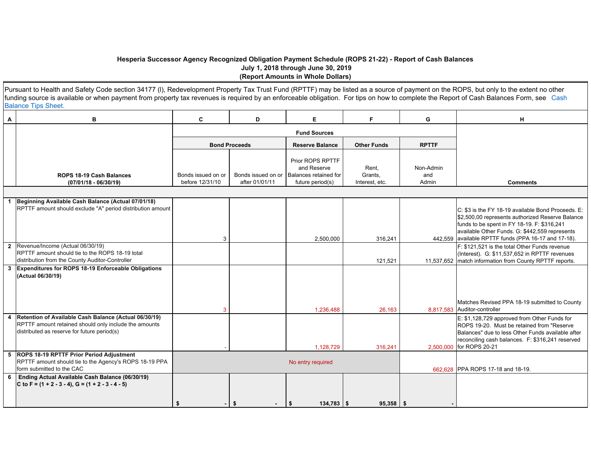#### **Hesperia Successor Agency Recognized Obligation Payment Schedule (ROPS 21-22) - Report of Cash Balances July 1, 2018 through June 30, 2019 (Report Amounts in Whole Dollars)**

|   | Pursuant to Health and Safety Code section 34177 (I), Redevelopment Property Tax Trust Fund (RPTTF) may be listed as a source of payment on the ROPS, but only to the extent no other<br>funding source is available or when payment from property tax revenues is required by an enforceable obligation. For tips on how to complete the Report of Cash Balances Form, see Cash<br><b>Balance Tips Sheet.</b> |                                       |                                      |                                                                              |                                    |                           |                                                                                                                                                                                                                                                                 |
|---|----------------------------------------------------------------------------------------------------------------------------------------------------------------------------------------------------------------------------------------------------------------------------------------------------------------------------------------------------------------------------------------------------------------|---------------------------------------|--------------------------------------|------------------------------------------------------------------------------|------------------------------------|---------------------------|-----------------------------------------------------------------------------------------------------------------------------------------------------------------------------------------------------------------------------------------------------------------|
| Α | в                                                                                                                                                                                                                                                                                                                                                                                                              | C                                     | D                                    | E.                                                                           | F.                                 | G                         | н                                                                                                                                                                                                                                                               |
|   |                                                                                                                                                                                                                                                                                                                                                                                                                |                                       |                                      | <b>Fund Sources</b>                                                          |                                    |                           |                                                                                                                                                                                                                                                                 |
|   |                                                                                                                                                                                                                                                                                                                                                                                                                |                                       | <b>Bond Proceeds</b>                 | <b>Reserve Balance</b>                                                       | <b>Other Funds</b>                 | <b>RPTTF</b>              |                                                                                                                                                                                                                                                                 |
|   | <b>ROPS 18-19 Cash Balances</b><br>(07/01/18 - 06/30/19)                                                                                                                                                                                                                                                                                                                                                       | Bonds issued on or<br>before 12/31/10 | Bonds issued on or<br>after 01/01/11 | Prior ROPS RPTTF<br>and Reserve<br>Balances retained for<br>future period(s) | Rent,<br>Grants,<br>Interest, etc. | Non-Admin<br>and<br>Admin | <b>Comments</b>                                                                                                                                                                                                                                                 |
|   |                                                                                                                                                                                                                                                                                                                                                                                                                |                                       |                                      |                                                                              |                                    |                           |                                                                                                                                                                                                                                                                 |
|   | Beginning Available Cash Balance (Actual 07/01/18)<br>RPTTF amount should exclude "A" period distribution amount                                                                                                                                                                                                                                                                                               | 3                                     |                                      | 2,500,000                                                                    | 316,241                            |                           | C: \$3 is the FY 18-19 available Bond Proceeds, E:<br>\$2,500,00 represents authorized Reserve Balance<br>funds to be spent in FY 18-19. F: \$316,241<br>available Other Funds. G: \$442,559 represents<br>442,559 available RPTTF funds (PPA 16-17 and 17-18). |
|   | Revenue/Income (Actual 06/30/19)<br>RPTTF amount should tie to the ROPS 18-19 total<br>distribution from the County Auditor-Controller                                                                                                                                                                                                                                                                         |                                       |                                      |                                                                              | 121,521                            |                           | F: \$121.521 is the total Other Funds revenue<br>(Interest). G: \$11,537,652 in RPTTF revenues<br>11,537,652   match information from County RPTTF reports.                                                                                                     |
| 3 | Expenditures for ROPS 18-19 Enforceable Obligations<br>(Actual 06/30/19)                                                                                                                                                                                                                                                                                                                                       | 3                                     |                                      | 1,236,488                                                                    | 26,163                             |                           | Matches Revised PPA 18-19 submitted to County<br>8,817,583 Auditor-controller                                                                                                                                                                                   |
|   | Retention of Available Cash Balance (Actual 06/30/19)<br>RPTTF amount retained should only include the amounts<br>distributed as reserve for future period(s)                                                                                                                                                                                                                                                  |                                       |                                      | 1.128.729                                                                    | 316.241                            |                           | E: \$1,128,729 approved from Other Funds for<br>ROPS 19-20. Must be retained from "Reserve<br>Balances" due to less Other Funds available after<br>reconciling cash balances. F: \$316,241 reserved<br>2,500,000 for ROPS 20-21                                 |
|   | <b>ROPS 18-19 RPTTF Prior Period Adjustment</b><br>RPTTF amount should tie to the Agency's ROPS 18-19 PPA<br>form submitted to the CAC                                                                                                                                                                                                                                                                         |                                       |                                      | No entry required                                                            |                                    |                           | 662.628 PPA ROPS 17-18 and 18-19.                                                                                                                                                                                                                               |
| 6 | Ending Actual Available Cash Balance (06/30/19)<br>C to F = $(1 + 2 - 3 - 4)$ , G = $(1 + 2 - 3 - 4 - 5)$                                                                                                                                                                                                                                                                                                      | \$                                    | \$                                   | $134,783$ \$<br>\$                                                           | $95,358$ \$                        |                           |                                                                                                                                                                                                                                                                 |